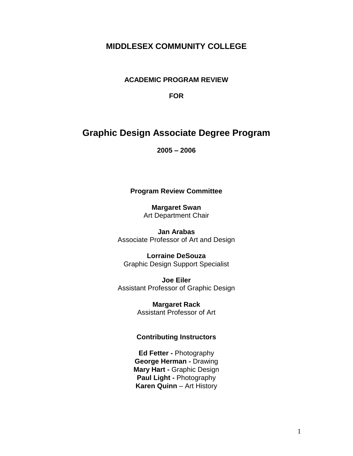# **MIDDLESEX COMMUNITY COLLEGE**

**ACADEMIC PROGRAM REVIEW**

**FOR**

# **Graphic Design Associate Degree Program**

**2005 – 2006**

#### **Program Review Committee**

**Margaret Swan** Art Department Chair

**Jan Arabas** Associate Professor of Art and Design

**Lorraine DeSouza** Graphic Design Support Specialist

**Joe Eiler** Assistant Professor of Graphic Design

> **Margaret Rack** Assistant Professor of Art

#### **Contributing Instructors**

**Ed Fetter -** Photography **George Herman -** Drawing **Mary Hart -** Graphic Design **Paul Light -** Photography **Karen Quinn** – Art History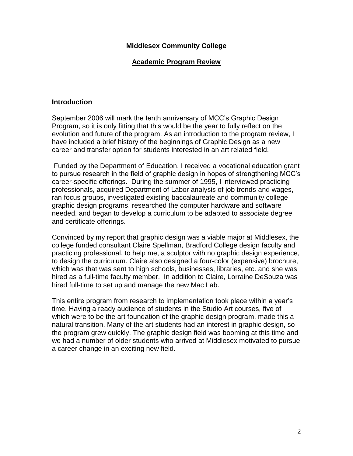### **Academic Program Review**

#### **Introduction**

September 2006 will mark the tenth anniversary of MCC"s Graphic Design Program, so it is only fitting that this would be the year to fully reflect on the evolution and future of the program. As an introduction to the program review, I have included a brief history of the beginnings of Graphic Design as a new career and transfer option for students interested in an art related field.

Funded by the Department of Education, I received a vocational education grant to pursue research in the field of graphic design in hopes of strengthening MCC"s career-specific offerings. During the summer of 1995, I interviewed practicing professionals, acquired Department of Labor analysis of job trends and wages, ran focus groups, investigated existing baccalaureate and community college graphic design programs, researched the computer hardware and software needed, and began to develop a curriculum to be adapted to associate degree and certificate offerings.

Convinced by my report that graphic design was a viable major at Middlesex, the college funded consultant Claire Spellman, Bradford College design faculty and practicing professional, to help me, a sculptor with no graphic design experience, to design the curriculum. Claire also designed a four-color (expensive) brochure, which was that was sent to high schools, businesses, libraries, etc. and she was hired as a full-time faculty member. In addition to Claire, Lorraine DeSouza was hired full-time to set up and manage the new Mac Lab.

This entire program from research to implementation took place within a year"s time. Having a ready audience of students in the Studio Art courses, five of which were to be the art foundation of the graphic design program, made this a natural transition. Many of the art students had an interest in graphic design, so the program grew quickly. The graphic design field was booming at this time and we had a number of older students who arrived at Middlesex motivated to pursue a career change in an exciting new field.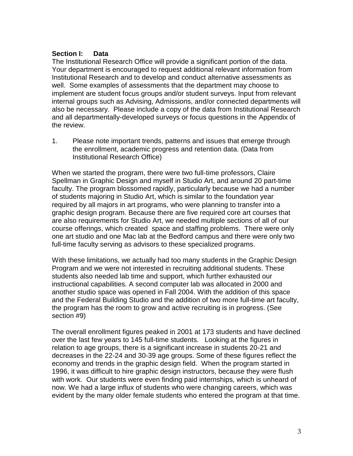### **Section I: Data**

The Institutional Research Office will provide a significant portion of the data. Your department is encouraged to request additional relevant information from Institutional Research and to develop and conduct alternative assessments as well. Some examples of assessments that the department may choose to implement are student focus groups and/or student surveys. Input from relevant internal groups such as Advising, Admissions, and/or connected departments will also be necessary. Please include a copy of the data from Institutional Research and all departmentally-developed surveys or focus questions in the Appendix of the review.

1. Please note important trends, patterns and issues that emerge through the enrollment, academic progress and retention data. (Data from Institutional Research Office)

When we started the program, there were two full-time professors, Claire Spellman in Graphic Design and myself in Studio Art, and around 20 part-time faculty. The program blossomed rapidly, particularly because we had a number of students majoring in Studio Art, which is similar to the foundation year required by all majors in art programs, who were planning to transfer into a graphic design program. Because there are five required core art courses that are also requirements for Studio Art, we needed multiple sections of all of our course offerings, which created space and staffing problems. There were only one art studio and one Mac lab at the Bedford campus and there were only two full-time faculty serving as advisors to these specialized programs.

With these limitations, we actually had too many students in the Graphic Design Program and we were not interested in recruiting additional students. These students also needed lab time and support, which further exhausted our instructional capabilities. A second computer lab was allocated in 2000 and another studio space was opened in Fall 2004. With the addition of this space and the Federal Building Studio and the addition of two more full-time art faculty, the program has the room to grow and active recruiting is in progress. (See section #9)

The overall enrollment figures peaked in 2001 at 173 students and have declined over the last few years to 145 full-time students. Looking at the figures in relation to age groups, there is a significant increase in students 20-21 and decreases in the 22-24 and 30-39 age groups. Some of these figures reflect the economy and trends in the graphic design field. When the program started in 1996, it was difficult to hire graphic design instructors, because they were flush with work. Our students were even finding paid internships, which is unheard of now. We had a large influx of students who were changing careers, which was evident by the many older female students who entered the program at that time.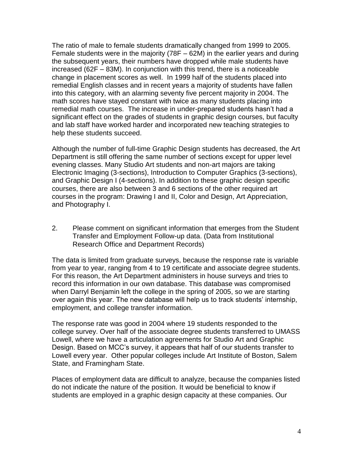The ratio of male to female students dramatically changed from 1999 to 2005. Female students were in the majority (78F – 62M) in the earlier years and during the subsequent years, their numbers have dropped while male students have increased (62F – 83M). In conjunction with this trend, there is a noticeable change in placement scores as well. In 1999 half of the students placed into remedial English classes and in recent years a majority of students have fallen into this category, with an alarming seventy five percent majority in 2004. The math scores have stayed constant with twice as many students placing into remedial math courses. The increase in under-prepared students hasn"t had a significant effect on the grades of students in graphic design courses, but faculty and lab staff have worked harder and incorporated new teaching strategies to help these students succeed.

Although the number of full-time Graphic Design students has decreased, the Art Department is still offering the same number of sections except for upper level evening classes. Many Studio Art students and non-art majors are taking Electronic Imaging (3-sections), Introduction to Computer Graphics (3-sections), and Graphic Design I (4-sections). In addition to these graphic design specific courses, there are also between 3 and 6 sections of the other required art courses in the program: Drawing I and II, Color and Design, Art Appreciation, and Photography I.

2. Please comment on significant information that emerges from the Student Transfer and Employment Follow-up data. (Data from Institutional Research Office and Department Records)

The data is limited from graduate surveys, because the response rate is variable from year to year, ranging from 4 to 19 certificate and associate degree students. For this reason, the Art Department administers in house surveys and tries to record this information in our own database. This database was compromised when Darryl Benjamin left the college in the spring of 2005, so we are starting over again this year. The new database will help us to track students' internship, employment, and college transfer information.

The response rate was good in 2004 where 19 students responded to the college survey. Over half of the associate degree students transferred to UMASS Lowell, where we have a articulation agreements for Studio Art and Graphic Design. Based on MCC"s survey, it appears that half of our students transfer to Lowell every year. Other popular colleges include Art Institute of Boston, Salem State, and Framingham State.

Places of employment data are difficult to analyze, because the companies listed do not indicate the nature of the position. It would be beneficial to know if students are employed in a graphic design capacity at these companies. Our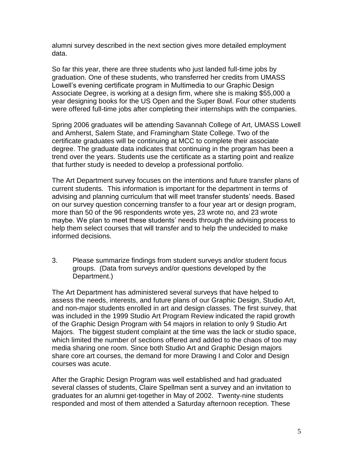alumni survey described in the next section gives more detailed employment data.

So far this year, there are three students who just landed full-time jobs by graduation. One of these students, who transferred her credits from UMASS Lowell"s evening certificate program in Multimedia to our Graphic Design Associate Degree, is working at a design firm, where she is making \$55,000 a year designing books for the US Open and the Super Bowl. Four other students were offered full-time jobs after completing their internships with the companies.

Spring 2006 graduates will be attending Savannah College of Art, UMASS Lowell and Amherst, Salem State, and Framingham State College. Two of the certificate graduates will be continuing at MCC to complete their associate degree. The graduate data indicates that continuing in the program has been a trend over the years. Students use the certificate as a starting point and realize that further study is needed to develop a professional portfolio.

The Art Department survey focuses on the intentions and future transfer plans of current students. This information is important for the department in terms of advising and planning curriculum that will meet transfer students" needs. Based on our survey question concerning transfer to a four year art or design program, more than 50 of the 96 respondents wrote yes, 23 wrote no, and 23 wrote maybe. We plan to meet these students' needs through the advising process to help them select courses that will transfer and to help the undecided to make informed decisions.

3. Please summarize findings from student surveys and/or student focus groups. (Data from surveys and/or questions developed by the Department.)

The Art Department has administered several surveys that have helped to assess the needs, interests, and future plans of our Graphic Design, Studio Art, and non-major students enrolled in art and design classes. The first survey, that was included in the 1999 Studio Art Program Review indicated the rapid growth of the Graphic Design Program with 54 majors in relation to only 9 Studio Art Majors. The biggest student complaint at the time was the lack or studio space, which limited the number of sections offered and added to the chaos of too may media sharing one room. Since both Studio Art and Graphic Design majors share core art courses, the demand for more Drawing I and Color and Design courses was acute.

After the Graphic Design Program was well established and had graduated several classes of students, Claire Spellman sent a survey and an invitation to graduates for an alumni get-together in May of 2002. Twenty-nine students responded and most of them attended a Saturday afternoon reception. These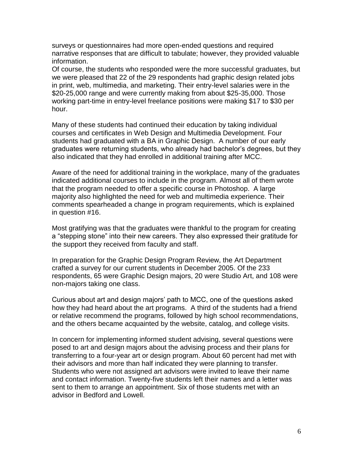surveys or questionnaires had more open-ended questions and required narrative responses that are difficult to tabulate; however, they provided valuable information.

Of course, the students who responded were the more successful graduates, but we were pleased that 22 of the 29 respondents had graphic design related jobs in print, web, multimedia, and marketing. Their entry-level salaries were in the \$20-25,000 range and were currently making from about \$25-35,000. Those working part-time in entry-level freelance positions were making \$17 to \$30 per hour.

Many of these students had continued their education by taking individual courses and certificates in Web Design and Multimedia Development. Four students had graduated with a BA in Graphic Design. A number of our early graduates were returning students, who already had bachelor"s degrees, but they also indicated that they had enrolled in additional training after MCC.

Aware of the need for additional training in the workplace, many of the graduates indicated additional courses to include in the program. Almost all of them wrote that the program needed to offer a specific course in Photoshop. A large majority also highlighted the need for web and multimedia experience. Their comments spearheaded a change in program requirements, which is explained in question #16.

Most gratifying was that the graduates were thankful to the program for creating a "stepping stone" into their new careers. They also expressed their gratitude for the support they received from faculty and staff.

In preparation for the Graphic Design Program Review, the Art Department crafted a survey for our current students in December 2005. Of the 233 respondents, 65 were Graphic Design majors, 20 were Studio Art, and 108 were non-majors taking one class.

Curious about art and design majors" path to MCC, one of the questions asked how they had heard about the art programs. A third of the students had a friend or relative recommend the programs, followed by high school recommendations, and the others became acquainted by the website, catalog, and college visits.

In concern for implementing informed student advising, several questions were posed to art and design majors about the advising process and their plans for transferring to a four-year art or design program. About 60 percent had met with their advisors and more than half indicated they were planning to transfer. Students who were not assigned art advisors were invited to leave their name and contact information. Twenty-five students left their names and a letter was sent to them to arrange an appointment. Six of those students met with an advisor in Bedford and Lowell.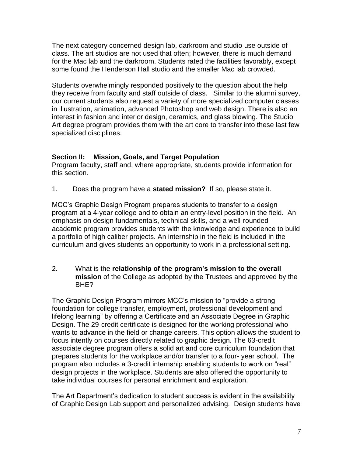The next category concerned design lab, darkroom and studio use outside of class. The art studios are not used that often; however, there is much demand for the Mac lab and the darkroom. Students rated the facilities favorably, except some found the Henderson Hall studio and the smaller Mac lab crowded.

Students overwhelmingly responded positively to the question about the help they receive from faculty and staff outside of class. Similar to the alumni survey, our current students also request a variety of more specialized computer classes in illustration, animation, advanced Photoshop and web design. There is also an interest in fashion and interior design, ceramics, and glass blowing. The Studio Art degree program provides them with the art core to transfer into these last few specialized disciplines.

### **Section II: Mission, Goals, and Target Population**

Program faculty, staff and, where appropriate, students provide information for this section.

1. Does the program have a **stated mission?** If so, please state it.

MCC"s Graphic Design Program prepares students to transfer to a design program at a 4-year college and to obtain an entry-level position in the field. An emphasis on design fundamentals, technical skills, and a well-rounded academic program provides students with the knowledge and experience to build a portfolio of high caliber projects. An internship in the field is included in the curriculum and gives students an opportunity to work in a professional setting.

2. What is the **relationship of the program's mission to the overall mission** of the College as adopted by the Trustees and approved by the BHE?

The Graphic Design Program mirrors MCC"s mission to "provide a strong foundation for college transfer, employment, professional development and lifelong learning" by offering a Certificate and an Associate Degree in Graphic Design. The 29-credit certificate is designed for the working professional who wants to advance in the field or change careers. This option allows the student to focus intently on courses directly related to graphic design. The 63-credit associate degree program offers a solid art and core curriculum foundation that prepares students for the workplace and/or transfer to a four- year school. The program also includes a 3-credit internship enabling students to work on "real" design projects in the workplace. Students are also offered the opportunity to take individual courses for personal enrichment and exploration.

The Art Department"s dedication to student success is evident in the availability of Graphic Design Lab support and personalized advising. Design students have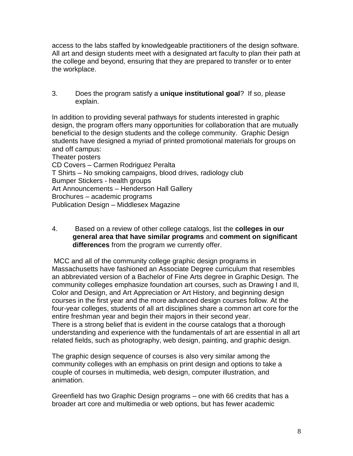access to the labs staffed by knowledgeable practitioners of the design software. All art and design students meet with a designated art faculty to plan their path at the college and beyond, ensuring that they are prepared to transfer or to enter the workplace.

3. Does the program satisfy a **unique institutional goal**? If so, please explain.

In addition to providing several pathways for students interested in graphic design, the program offers many opportunities for collaboration that are mutually beneficial to the design students and the college community. Graphic Design students have designed a myriad of printed promotional materials for groups on and off campus:

Theater posters CD Covers – Carmen Rodriguez Peralta T Shirts – No smoking campaigns, blood drives, radiology club Bumper Stickers - health groups Art Announcements – Henderson Hall Gallery Brochures – academic programs Publication Design – Middlesex Magazine

4. Based on a review of other college catalogs, list the **colleges in our general area that have similar programs** and **comment on significant differences** from the program we currently offer.

MCC and all of the community college graphic design programs in Massachusetts have fashioned an Associate Degree curriculum that resembles an abbreviated version of a Bachelor of Fine Arts degree in Graphic Design. The community colleges emphasize foundation art courses, such as Drawing I and II, Color and Design, and Art Appreciation or Art History, and beginning design courses in the first year and the more advanced design courses follow. At the four-year colleges, students of all art disciplines share a common art core for the entire freshman year and begin their majors in their second year. There is a strong belief that is evident in the course catalogs that a thorough understanding and experience with the fundamentals of art are essential in all art related fields, such as photography, web design, painting, and graphic design.

The graphic design sequence of courses is also very similar among the community colleges with an emphasis on print design and options to take a couple of courses in multimedia, web design, computer illustration, and animation.

Greenfield has two Graphic Design programs – one with 66 credits that has a broader art core and multimedia or web options, but has fewer academic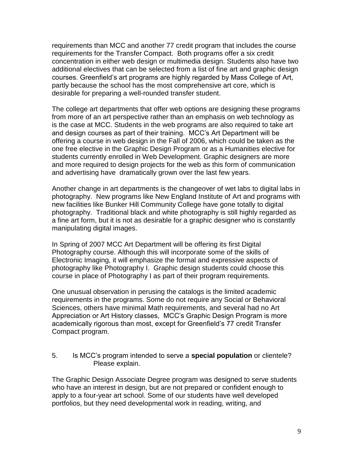requirements than MCC and another 77 credit program that includes the course requirements for the Transfer Compact. Both programs offer a six credit concentration in either web design or multimedia design. Students also have two additional electives that can be selected from a list of fine art and graphic design courses. Greenfield"s art programs are highly regarded by Mass College of Art, partly because the school has the most comprehensive art core, which is desirable for preparing a well-rounded transfer student.

The college art departments that offer web options are designing these programs from more of an art perspective rather than an emphasis on web technology as is the case at MCC. Students in the web programs are also required to take art and design courses as part of their training. MCC"s Art Department will be offering a course in web design in the Fall of 2006, which could be taken as the one free elective in the Graphic Design Program or as a Humanities elective for students currently enrolled in Web Development. Graphic designers are more and more required to design projects for the web as this form of communication and advertising have dramatically grown over the last few years.

Another change in art departments is the changeover of wet labs to digital labs in photography. New programs like New England Institute of Art and programs with new facilities like Bunker Hill Community College have gone totally to digital photography. Traditional black and white photography is still highly regarded as a fine art form, but it is not as desirable for a graphic designer who is constantly manipulating digital images.

In Spring of 2007 MCC Art Department will be offering its first Digital Photography course. Although this will incorporate some of the skills of Electronic Imaging, it will emphasize the formal and expressive aspects of photography like Photography I. Graphic design students could choose this course in place of Photography I as part of their program requirements.

One unusual observation in perusing the catalogs is the limited academic requirements in the programs. Some do not require any Social or Behavioral Sciences, others have minimal Math requirements, and several had no Art Appreciation or Art History classes, MCC"s Graphic Design Program is more academically rigorous than most, except for Greenfield"s 77 credit Transfer Compact program.

5. Is MCC"s program intended to serve a **special population** or clientele? Please explain.

The Graphic Design Associate Degree program was designed to serve students who have an interest in design, but are not prepared or confident enough to apply to a four-year art school. Some of our students have well developed portfolios, but they need developmental work in reading, writing, and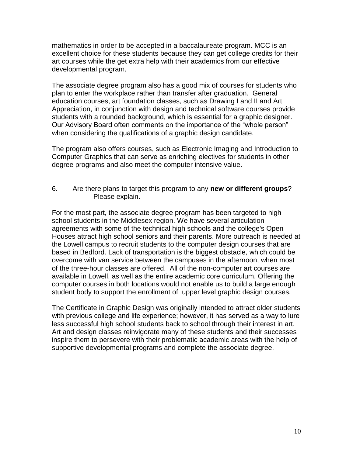mathematics in order to be accepted in a baccalaureate program. MCC is an excellent choice for these students because they can get college credits for their art courses while the get extra help with their academics from our effective developmental program,

The associate degree program also has a good mix of courses for students who plan to enter the workplace rather than transfer after graduation. General education courses, art foundation classes, such as Drawing I and II and Art Appreciation, in conjunction with design and technical software courses provide students with a rounded background, which is essential for a graphic designer. Our Advisory Board often comments on the importance of the "whole person" when considering the qualifications of a graphic design candidate.

The program also offers courses, such as Electronic Imaging and Introduction to Computer Graphics that can serve as enriching electives for students in other degree programs and also meet the computer intensive value.

### 6. Are there plans to target this program to any **new or different groups**? Please explain.

For the most part, the associate degree program has been targeted to high school students in the Middlesex region. We have several articulation agreements with some of the technical high schools and the college's Open Houses attract high school seniors and their parents. More outreach is needed at the Lowell campus to recruit students to the computer design courses that are based in Bedford. Lack of transportation is the biggest obstacle, which could be overcome with van service between the campuses in the afternoon, when most of the three-hour classes are offered. All of the non-computer art courses are available in Lowell, as well as the entire academic core curriculum. Offering the computer courses in both locations would not enable us to build a large enough student body to support the enrollment of upper level graphic design courses.

The Certificate in Graphic Design was originally intended to attract older students with previous college and life experience; however, it has served as a way to lure less successful high school students back to school through their interest in art. Art and design classes reinvigorate many of these students and their successes inspire them to persevere with their problematic academic areas with the help of supportive developmental programs and complete the associate degree.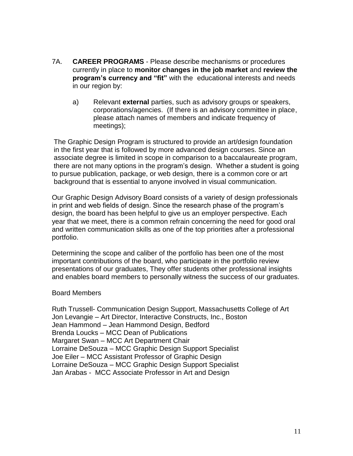- 7A. **CAREER PROGRAMS** Please describe mechanisms or procedures currently in place to **monitor changes in the job market** and **review the program's currency and "fit"** with the educational interests and needs in our region by:
	- a) Relevant **external** parties, such as advisory groups or speakers, corporations/agencies. (If there is an advisory committee in place, please attach names of members and indicate frequency of meetings);

The Graphic Design Program is structured to provide an art/design foundation in the first year that is followed by more advanced design courses. Since an associate degree is limited in scope in comparison to a baccalaureate program, there are not many options in the program"s design. Whether a student is going to pursue publication, package, or web design, there is a common core or art background that is essential to anyone involved in visual communication.

Our Graphic Design Advisory Board consists of a variety of design professionals in print and web fields of design. Since the research phase of the program"s design, the board has been helpful to give us an employer perspective. Each year that we meet, there is a common refrain concerning the need for good oral and written communication skills as one of the top priorities after a professional portfolio.

Determining the scope and caliber of the portfolio has been one of the most important contributions of the board, who participate in the portfolio review presentations of our graduates, They offer students other professional insights and enables board members to personally witness the success of our graduates.

#### Board Members

Ruth Trussell- Communication Design Support, Massachusetts College of Art Jon Levangie – Art Director, Interactive Constructs, Inc., Boston Jean Hammond – Jean Hammond Design, Bedford Brenda Loucks – MCC Dean of Publications Margaret Swan – MCC Art Department Chair Lorraine DeSouza – MCC Graphic Design Support Specialist Joe Eiler – MCC Assistant Professor of Graphic Design Lorraine DeSouza – MCC Graphic Design Support Specialist Jan Arabas - MCC Associate Professor in Art and Design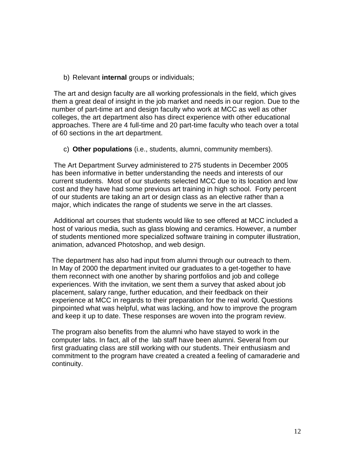b) Relevant **internal** groups or individuals;

The art and design faculty are all working professionals in the field, which gives them a great deal of insight in the job market and needs in our region. Due to the number of part-time art and design faculty who work at MCC as well as other colleges, the art department also has direct experience with other educational approaches. There are 4 full-time and 20 part-time faculty who teach over a total of 60 sections in the art department.

c) **Other populations** (i.e., students, alumni, community members).

The Art Department Survey administered to 275 students in December 2005 has been informative in better understanding the needs and interests of our current students. Most of our students selected MCC due to its location and low cost and they have had some previous art training in high school. Forty percent of our students are taking an art or design class as an elective rather than a major, which indicates the range of students we serve in the art classes.

Additional art courses that students would like to see offered at MCC included a host of various media, such as glass blowing and ceramics. However, a number of students mentioned more specialized software training in computer illustration, animation, advanced Photoshop, and web design.

The department has also had input from alumni through our outreach to them. In May of 2000 the department invited our graduates to a get-together to have them reconnect with one another by sharing portfolios and job and college experiences. With the invitation, we sent them a survey that asked about job placement, salary range, further education, and their feedback on their experience at MCC in regards to their preparation for the real world. Questions pinpointed what was helpful, what was lacking, and how to improve the program and keep it up to date. These responses are woven into the program review.

The program also benefits from the alumni who have stayed to work in the computer labs. In fact, all of the lab staff have been alumni. Several from our first graduating class are still working with our students. Their enthusiasm and commitment to the program have created a created a feeling of camaraderie and continuity.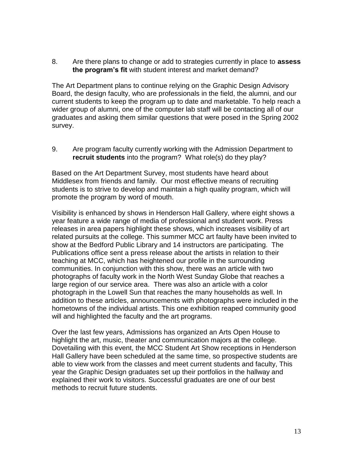8. Are there plans to change or add to strategies currently in place to **assess the program's fit** with student interest and market demand?

The Art Department plans to continue relying on the Graphic Design Advisory Board, the design faculty, who are professionals in the field, the alumni, and our current students to keep the program up to date and marketable. To help reach a wider group of alumni, one of the computer lab staff will be contacting all of our graduates and asking them similar questions that were posed in the Spring 2002 survey.

9. Are program faculty currently working with the Admission Department to **recruit students** into the program? What role(s) do they play?

Based on the Art Department Survey, most students have heard about Middlesex from friends and family. Our most effective means of recruiting students is to strive to develop and maintain a high quality program, which will promote the program by word of mouth.

Visibility is enhanced by shows in Henderson Hall Gallery, where eight shows a year feature a wide range of media of professional and student work. Press releases in area papers highlight these shows, which increases visibility of art related pursuits at the college. This summer MCC art faulty have been invited to show at the Bedford Public Library and 14 instructors are participating. The Publications office sent a press release about the artists in relation to their teaching at MCC, which has heightened our profile in the surrounding communities. In conjunction with this show, there was an article with two photographs of faculty work in the North West Sunday Globe that reaches a large region of our service area. There was also an article with a color photograph in the Lowell Sun that reaches the many households as well. In addition to these articles, announcements with photographs were included in the hometowns of the individual artists. This one exhibition reaped community good will and highlighted the faculty and the art programs.

Over the last few years, Admissions has organized an Arts Open House to highlight the art, music, theater and communication majors at the college. Dovetailing with this event, the MCC Student Art Show receptions in Henderson Hall Gallery have been scheduled at the same time, so prospective students are able to view work from the classes and meet current students and faculty, This year the Graphic Design graduates set up their portfolios in the hallway and explained their work to visitors. Successful graduates are one of our best methods to recruit future students.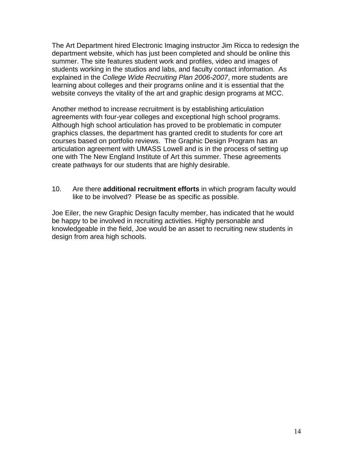The Art Department hired Electronic Imaging instructor Jim Ricca to redesign the department website, which has just been completed and should be online this summer. The site features student work and profiles, video and images of students working in the studios and labs, and faculty contact information. As explained in the *College Wide Recruiting Plan 2006-2007*, more students are learning about colleges and their programs online and it is essential that the website conveys the vitality of the art and graphic design programs at MCC.

Another method to increase recruitment is by establishing articulation agreements with four-year colleges and exceptional high school programs. Although high school articulation has proved to be problematic in computer graphics classes, the department has granted credit to students for core art courses based on portfolio reviews. The Graphic Design Program has an articulation agreement with UMASS Lowell and is in the process of setting up one with The New England Institute of Art this summer. These agreements create pathways for our students that are highly desirable.

10. Are there **additional recruitment efforts** in which program faculty would like to be involved? Please be as specific as possible.

Joe Eiler, the new Graphic Design faculty member, has indicated that he would be happy to be involved in recruiting activities. Highly personable and knowledgeable in the field, Joe would be an asset to recruiting new students in design from area high schools.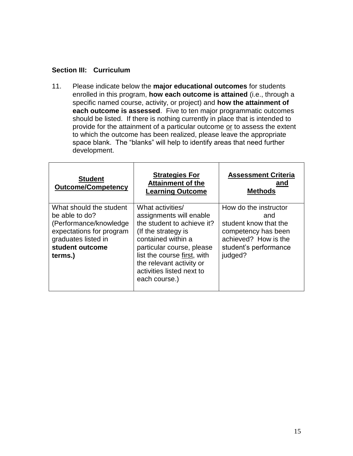## **Section III: Curriculum**

11. Please indicate below the **major educational outcomes** for students enrolled in this program, **how each outcome is attained** (i.e., through a specific named course, activity, or project) and **how the attainment of each outcome is assessed**. Five to ten major programmatic outcomes should be listed. If there is nothing currently in place that is intended to provide for the attainment of a particular outcome or to assess the extent to which the outcome has been realized, please leave the appropriate space blank. The "blanks" will help to identify areas that need further development.

| <b>Student</b><br><b>Outcome/Competency</b>                                                                                                           | <b>Strategies For</b><br><b>Attainment of the</b><br><b>Learning Outcome</b>                                                                                                                                                                                 | <b>Assessment Criteria</b><br>and<br><b>Methods</b>                                                                                      |
|-------------------------------------------------------------------------------------------------------------------------------------------------------|--------------------------------------------------------------------------------------------------------------------------------------------------------------------------------------------------------------------------------------------------------------|------------------------------------------------------------------------------------------------------------------------------------------|
| What should the student<br>be able to do?<br>(Performance/knowledge)<br>expectations for program<br>graduates listed in<br>student outcome<br>terms.) | What activities/<br>assignments will enable<br>the student to achieve it?<br>(If the strategy is<br>contained within a<br>particular course, please<br>list the course first, with<br>the relevant activity or<br>activities listed next to<br>each course.) | How do the instructor<br>and<br>student know that the<br>competency has been<br>achieved? How is the<br>student's performance<br>judged? |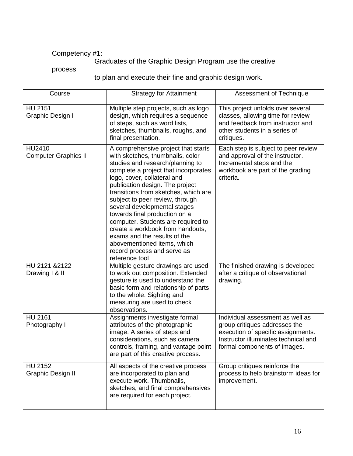# Competency #1:

# Graduates of the Graphic Design Program use the creative

### process

to plan and execute their fine and graphic design work.

| Course                                     | <b>Strategy for Attainment</b>                                                                                                                                                                                                                                                                                                                                                                                                                                                                                                                              | Assessment of Technique                                                                                                                                                         |
|--------------------------------------------|-------------------------------------------------------------------------------------------------------------------------------------------------------------------------------------------------------------------------------------------------------------------------------------------------------------------------------------------------------------------------------------------------------------------------------------------------------------------------------------------------------------------------------------------------------------|---------------------------------------------------------------------------------------------------------------------------------------------------------------------------------|
| <b>HU 2151</b><br>Graphic Design I         | Multiple step projects, such as logo<br>design, which requires a sequence<br>of steps, such as word lists,<br>sketches, thumbnails, roughs, and<br>final presentation.                                                                                                                                                                                                                                                                                                                                                                                      | This project unfolds over several<br>classes, allowing time for review<br>and feedback from instructor and<br>other students in a series of<br>critiques.                       |
| HU2410<br><b>Computer Graphics II</b>      | A comprehensive project that starts<br>with sketches, thumbnails, color<br>studies and research/planning to<br>complete a project that incorporates<br>logo, cover, collateral and<br>publication design. The project<br>transitions from sketches, which are<br>subject to peer review, through<br>several developmental stages<br>towards final production on a<br>computer. Students are required to<br>create a workbook from handouts,<br>exams and the results of the<br>abovementioned items, which<br>record process and serve as<br>reference tool | Each step is subject to peer review<br>and approval of the instructor.<br>Incremental steps and the<br>workbook are part of the grading<br>criteria.                            |
| HU 2121 & 2122<br>Drawing I & II           | Multiple gesture drawings are used<br>to work out composition. Extended<br>gesture is used to understand the<br>basic form and relationship of parts<br>to the whole. Sighting and<br>measuring are used to check<br>observations.                                                                                                                                                                                                                                                                                                                          | The finished drawing is developed<br>after a critique of observational<br>drawing.                                                                                              |
| <b>HU 2161</b><br>Photography I            | Assignments investigate formal<br>attributes of the photographic<br>image. A series of steps and<br>considerations, such as camera<br>controls, framing, and vantage point<br>are part of this creative process.                                                                                                                                                                                                                                                                                                                                            | Individual assessment as well as<br>group critiques addresses the<br>execution of specific assignments.<br>Instructor illuminates technical and<br>formal components of images. |
| <b>HU 2152</b><br><b>Graphic Design II</b> | All aspects of the creative process<br>are incorporated to plan and<br>execute work. Thumbnails,<br>sketches, and final comprehensives<br>are required for each project.                                                                                                                                                                                                                                                                                                                                                                                    | Group critiques reinforce the<br>process to help brainstorm ideas for<br>improvement.                                                                                           |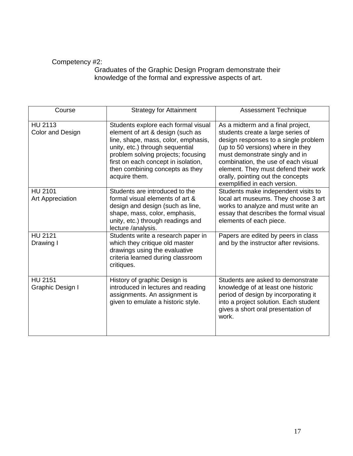# Competency #2:

 Graduates of the Graphic Design Program demonstrate their knowledge of the formal and expressive aspects of art.

| Course                                    | <b>Strategy for Attainment</b>                                                                                                                                                                                                                                                     | <b>Assessment Technique</b>                                                                                                                                                                                                                                                                                                               |
|-------------------------------------------|------------------------------------------------------------------------------------------------------------------------------------------------------------------------------------------------------------------------------------------------------------------------------------|-------------------------------------------------------------------------------------------------------------------------------------------------------------------------------------------------------------------------------------------------------------------------------------------------------------------------------------------|
| HU 2113<br>Color and Design               | Students explore each formal visual<br>element of art & design (such as<br>line, shape, mass, color, emphasis,<br>unity, etc.) through sequential<br>problem solving projects; focusing<br>first on each concept in isolation,<br>then combining concepts as they<br>acquire them. | As a midterm and a final project,<br>students create a large series of<br>design responses to a single problem<br>(up to 50 versions) where in they<br>must demonstrate singly and in<br>combination, the use of each visual<br>element. They must defend their work<br>orally, pointing out the concepts<br>exemplified in each version. |
| <b>HU 2101</b><br><b>Art Appreciation</b> | Students are introduced to the<br>formal visual elements of art &<br>design and design (such as line,<br>shape, mass, color, emphasis,<br>unity, etc.) through readings and<br>lecture /analysis.                                                                                  | Students make independent visits to<br>local art museums. They choose 3 art<br>works to analyze and must write an<br>essay that describes the formal visual<br>elements of each piece.                                                                                                                                                    |
| <b>HU 2121</b><br>Drawing I               | Students write a research paper in<br>which they critique old master<br>drawings using the evaluative<br>criteria learned during classroom<br>critiques.                                                                                                                           | Papers are edited by peers in class<br>and by the instructor after revisions.                                                                                                                                                                                                                                                             |
| <b>HU 2151</b><br>Graphic Design I        | History of graphic Design is<br>introduced in lectures and reading<br>assignments. An assignment is<br>given to emulate a historic style.                                                                                                                                          | Students are asked to demonstrate<br>knowledge of at least one historic<br>period of design by incorporating it<br>into a project solution. Each student<br>gives a short oral presentation of<br>work.                                                                                                                                   |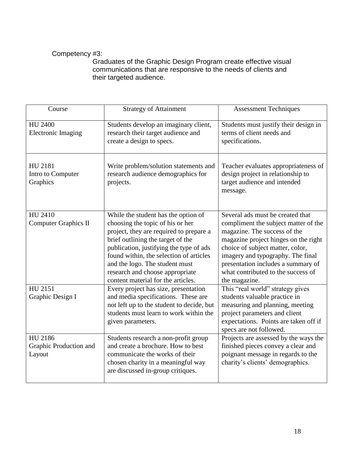# Competency #3:

 Graduates of the Graphic Design Program create effective visual communications that are responsive to the needs of clients and their targeted audience.

| Course                                      | <b>Strategy of Attainment</b>                                                                                                                                                                                                                                                                                                                            | <b>Assessment Techniques</b>                                                                                                                                                                                                                                                                                           |
|---------------------------------------------|----------------------------------------------------------------------------------------------------------------------------------------------------------------------------------------------------------------------------------------------------------------------------------------------------------------------------------------------------------|------------------------------------------------------------------------------------------------------------------------------------------------------------------------------------------------------------------------------------------------------------------------------------------------------------------------|
| HU 2400<br><b>Electronic Imaging</b>        | Students develop an imaginary client,<br>research their target audience and<br>create a design to specs.                                                                                                                                                                                                                                                 | Students must justify their design in<br>terms of client needs and<br>specifications.                                                                                                                                                                                                                                  |
| HU 2181<br>Intro to Computer<br>Graphics    | Write problem/solution statements and<br>research audience demographics for<br>projects.                                                                                                                                                                                                                                                                 | Teacher evaluates appropriateness of<br>design project in relationship to<br>target audience and intended<br>message.                                                                                                                                                                                                  |
| HU 2410<br><b>Computer Graphics II</b>      | While the student has the option of<br>choosing the topic of his or her<br>project, they are required to prepare a<br>brief outlining the target of the<br>publication, justifying the type of ads<br>found within, the selection of articles<br>and the logo. The student must<br>research and choose appropriate<br>content material for the articles. | Several ads must be created that<br>compliment the subject matter of the<br>magazine. The success of the<br>magazine project hinges on the right<br>choice of subject matter, color,<br>imagery and typography. The final<br>presentation includes a summary of<br>what contributed to the success of<br>the magazine. |
| HU 2151<br>Graphic Design I                 | Every project has size, presentation<br>and media specifications. These are<br>not left up to the student to decide, but<br>students must learn to work within the<br>given parameters.                                                                                                                                                                  | This "real world" strategy gives<br>students valuable practice in<br>measuring and planning, meeting<br>project parameters and client<br>expectations. Points are taken off if<br>specs are not followed.                                                                                                              |
| HU 2186<br>Graphic Production and<br>Layout | Students research a non-profit group<br>and create a brochure. How to best<br>communicate the works of their<br>chosen charity in a meaningful way<br>are discussed in-group critiques.                                                                                                                                                                  | Projects are assessed by the ways the<br>finished pieces convey a clear and<br>poignant message in regards to the<br>charity's clients' demographics.                                                                                                                                                                  |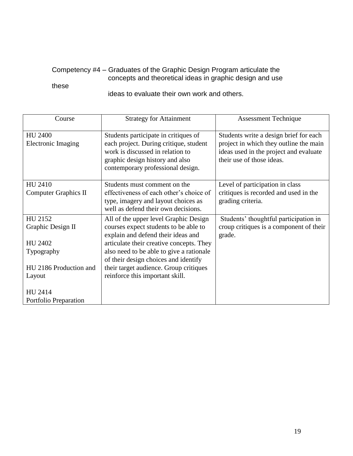## Competency #4 – Graduates of the Graphic Design Program articulate the concepts and theoretical ideas in graphic design and use

# these

ideas to evaluate their own work and others.

| Course                                 | <b>Strategy for Attainment</b>                                                                                                                                                             | <b>Assessment Technique</b>                                                                                                                             |
|----------------------------------------|--------------------------------------------------------------------------------------------------------------------------------------------------------------------------------------------|---------------------------------------------------------------------------------------------------------------------------------------------------------|
| <b>HU 2400</b><br>Electronic Imaging   | Students participate in critiques of<br>each project. During critique, student<br>work is discussed in relation to<br>graphic design history and also<br>contemporary professional design. | Students write a design brief for each<br>project in which they outline the main<br>ideas used in the project and evaluate<br>their use of those ideas. |
| HU 2410<br><b>Computer Graphics II</b> | Students must comment on the<br>effectiveness of each other's choice of<br>type, imagery and layout choices as<br>well as defend their own decisions.                                      | Level of participation in class<br>critiques is recorded and used in the<br>grading criteria.                                                           |
| HU 2152<br>Graphic Design II           | All of the upper level Graphic Design<br>courses expect students to be able to<br>explain and defend their ideas and                                                                       | Students' thoughtful participation in<br>croup critiques is a component of their<br>grade.                                                              |
| HU 2402                                | articulate their creative concepts. They                                                                                                                                                   |                                                                                                                                                         |
| Typography                             | also need to be able to give a rationale<br>of their design choices and identify                                                                                                           |                                                                                                                                                         |
| HU 2186 Production and                 | their target audience. Group critiques                                                                                                                                                     |                                                                                                                                                         |
| Layout                                 | reinforce this important skill.                                                                                                                                                            |                                                                                                                                                         |
| HU 2414<br>Portfolio Preparation       |                                                                                                                                                                                            |                                                                                                                                                         |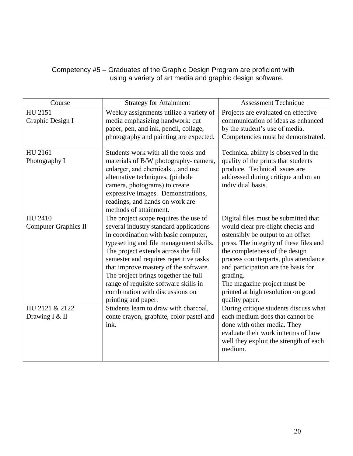## Competency #5 – Graduates of the Graphic Design Program are proficient with using a variety of art media and graphic design software.

| Course                                 | <b>Strategy for Attainment</b>                                                                                                                                                                                                                                                                                                                                                                                                          | <b>Assessment Technique</b>                                                                                                                                                                                                                                                                                                                                                     |
|----------------------------------------|-----------------------------------------------------------------------------------------------------------------------------------------------------------------------------------------------------------------------------------------------------------------------------------------------------------------------------------------------------------------------------------------------------------------------------------------|---------------------------------------------------------------------------------------------------------------------------------------------------------------------------------------------------------------------------------------------------------------------------------------------------------------------------------------------------------------------------------|
| HU 2151<br>Graphic Design I            | Weekly assignments utilize a variety of<br>media emphasizing handwork: cut<br>paper, pen, and ink, pencil, collage,<br>photography and painting are expected.                                                                                                                                                                                                                                                                           | Projects are evaluated on effective<br>communication of ideas as enhanced<br>by the student's use of media.<br>Competencies must be demonstrated.                                                                                                                                                                                                                               |
| HU 2161<br>Photography I               | Students work with all the tools and<br>materials of B/W photography-camera,<br>enlarger, and chemicalsand use<br>alternative techniques, (pinhole<br>camera, photograms) to create<br>expressive images. Demonstrations,<br>readings, and hands on work are<br>methods of attainment.                                                                                                                                                  | Technical ability is observed in the<br>quality of the prints that students<br>produce. Technical issues are<br>addressed during critique and on an<br>individual basis.                                                                                                                                                                                                        |
| HU 2410<br><b>Computer Graphics II</b> | The project scope requires the use of<br>several industry standard applications<br>in coordination with basic computer,<br>typesetting and file management skills.<br>The project extends across the full<br>semester and requires repetitive tasks<br>that improve mastery of the software.<br>The project brings together the full<br>range of requisite software skills in<br>combination with discussions on<br>printing and paper. | Digital files must be submitted that<br>would clear pre-flight checks and<br>ostensibly be output to an offset<br>press. The integrity of these files and<br>the completeness of the design<br>process counterparts, plus attendance<br>and participation are the basis for<br>grading.<br>The magazine project must be<br>printed at high resolution on good<br>quality paper. |
| HU 2121 & 2122<br>Drawing I & II       | Students learn to draw with charcoal,<br>conte crayon, graphite, color pastel and<br>ink.                                                                                                                                                                                                                                                                                                                                               | During critique students discuss what<br>each medium does that cannot be<br>done with other media. They<br>evaluate their work in terms of how<br>well they exploit the strength of each<br>medium.                                                                                                                                                                             |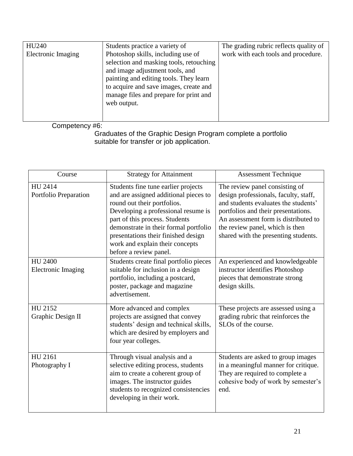| HU240                     | Students practice a variety of                                                                                                                                                                                                                                | The grading rubric reflects quality of |
|---------------------------|---------------------------------------------------------------------------------------------------------------------------------------------------------------------------------------------------------------------------------------------------------------|----------------------------------------|
| <b>Electronic Imaging</b> | Photoshop skills, including use of<br>selection and masking tools, retouching<br>and image adjustment tools, and<br>painting and editing tools. They learn<br>to acquire and save images, create and<br>manage files and prepare for print and<br>web output. | work with each tools and procedure.    |
|                           |                                                                                                                                                                                                                                                               |                                        |

Competency #6:

 Graduates of the Graphic Design Program complete a portfolio suitable for transfer or job application.

| Course                                      | <b>Strategy for Attainment</b>                                                                                                                                                                                                                                                                                                    | <b>Assessment Technique</b>                                                                                                                                                                                                                                               |
|---------------------------------------------|-----------------------------------------------------------------------------------------------------------------------------------------------------------------------------------------------------------------------------------------------------------------------------------------------------------------------------------|---------------------------------------------------------------------------------------------------------------------------------------------------------------------------------------------------------------------------------------------------------------------------|
| HU 2414<br>Portfolio Preparation            | Students fine tune earlier projects<br>and are assigned additional pieces to<br>round out their portfolios.<br>Developing a professional resume is<br>part of this process. Students<br>demonstrate in their formal portfolio<br>presentations their finished design<br>work and explain their concepts<br>before a review panel. | The review panel consisting of<br>design professionals, faculty, staff,<br>and students evaluates the students'<br>portfolios and their presentations.<br>An assessment form is distributed to<br>the review panel, which is then<br>shared with the presenting students. |
| <b>HU 2400</b><br><b>Electronic Imaging</b> | Students create final portfolio pieces<br>suitable for inclusion in a design<br>portfolio, including a postcard,<br>poster, package and magazine<br>advertisement.                                                                                                                                                                | An experienced and knowledgeable<br>instructor identifies Photoshop<br>pieces that demonstrate strong<br>design skills.                                                                                                                                                   |
| HU 2152<br>Graphic Design II                | More advanced and complex<br>projects are assigned that convey<br>students' design and technical skills,<br>which are desired by employers and<br>four year colleges.                                                                                                                                                             | These projects are assessed using a<br>grading rubric that reinforces the<br>SLO <sub>s</sub> of the course.                                                                                                                                                              |
| HU 2161<br>Photography I                    | Through visual analysis and a<br>selective editing process, students<br>aim to create a coherent group of<br>images. The instructor guides<br>students to recognized consistencies<br>developing in their work.                                                                                                                   | Students are asked to group images<br>in a meaningful manner for critique.<br>They are required to complete a<br>cohesive body of work by semester's<br>end.                                                                                                              |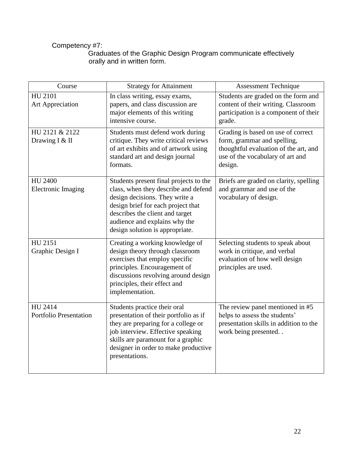## Competency #7:

 Graduates of the Graphic Design Program communicate effectively orally and in written form.

| Course                                      | <b>Strategy for Attainment</b>                                                                                                                                                                                                                                | <b>Assessment Technique</b>                                                                                                                               |
|---------------------------------------------|---------------------------------------------------------------------------------------------------------------------------------------------------------------------------------------------------------------------------------------------------------------|-----------------------------------------------------------------------------------------------------------------------------------------------------------|
| HU 2101<br>Art Appreciation                 | In class writing, essay exams,<br>papers, and class discussion are<br>major elements of this writing<br>intensive course.                                                                                                                                     | Students are graded on the form and<br>content of their writing. Classroom<br>participation is a component of their<br>grade.                             |
| HU 2121 & 2122<br>Drawing I & II            | Students must defend work during<br>critique. They write critical reviews<br>of art exhibits and of artwork using<br>standard art and design journal<br>formats.                                                                                              | Grading is based on use of correct<br>form, grammar and spelling,<br>thoughtful evaluation of the art, and<br>use of the vocabulary of art and<br>design. |
| <b>HU 2400</b><br><b>Electronic Imaging</b> | Students present final projects to the<br>class, when they describe and defend<br>design decisions. They write a<br>design brief for each project that<br>describes the client and target<br>audience and explains why the<br>design solution is appropriate. | Briefs are graded on clarity, spelling<br>and grammar and use of the<br>vocabulary of design.                                                             |
| HU 2151<br>Graphic Design I                 | Creating a working knowledge of<br>design theory through classroom<br>exercises that employ specific<br>principles. Encouragement of<br>discussions revolving around design<br>principles, their effect and<br>implementation.                                | Selecting students to speak about<br>work in critique, and verbal<br>evaluation of how well design<br>principles are used.                                |
| HU 2414<br><b>Portfolio Presentation</b>    | Students practice their oral<br>presentation of their portfolio as if<br>they are preparing for a college or<br>job interview. Effective speaking<br>skills are paramount for a graphic<br>designer in order to make productive<br>presentations.             | The review panel mentioned in #5<br>helps to assess the students'<br>presentation skills in addition to the<br>work being presented                       |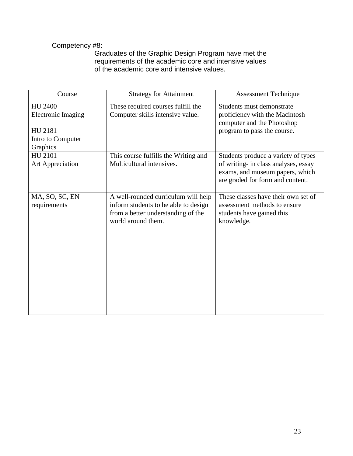# Competency #8:

 Graduates of the Graphic Design Program have met the requirements of the academic core and intensive values of the academic core and intensive values.

| Course                                                                                  | <b>Strategy for Attainment</b>                                                                                                          | Assessment Technique                                                                                                                               |
|-----------------------------------------------------------------------------------------|-----------------------------------------------------------------------------------------------------------------------------------------|----------------------------------------------------------------------------------------------------------------------------------------------------|
| <b>HU 2400</b><br><b>Electronic Imaging</b><br>HU 2181<br>Intro to Computer<br>Graphics | These required courses fulfill the<br>Computer skills intensive value.                                                                  | Students must demonstrate<br>proficiency with the Macintosh<br>computer and the Photoshop<br>program to pass the course.                           |
| HU 2101<br>Art Appreciation                                                             | This course fulfills the Writing and<br>Multicultural intensives.                                                                       | Students produce a variety of types<br>of writing- in class analyses, essay<br>exams, and museum papers, which<br>are graded for form and content. |
| MA, SO, SC, EN<br>requirements                                                          | A well-rounded curriculum will help<br>inform students to be able to design<br>from a better understanding of the<br>world around them. | These classes have their own set of<br>assessment methods to ensure<br>students have gained this<br>knowledge.                                     |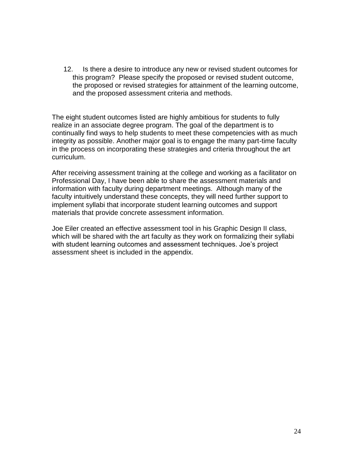12. Is there a desire to introduce any new or revised student outcomes for this program? Please specify the proposed or revised student outcome, the proposed or revised strategies for attainment of the learning outcome, and the proposed assessment criteria and methods.

The eight student outcomes listed are highly ambitious for students to fully realize in an associate degree program. The goal of the department is to continually find ways to help students to meet these competencies with as much integrity as possible. Another major goal is to engage the many part-time faculty in the process on incorporating these strategies and criteria throughout the art curriculum.

After receiving assessment training at the college and working as a facilitator on Professional Day, I have been able to share the assessment materials and information with faculty during department meetings. Although many of the faculty intuitively understand these concepts, they will need further support to implement syllabi that incorporate student learning outcomes and support materials that provide concrete assessment information.

Joe Eiler created an effective assessment tool in his Graphic Design II class, which will be shared with the art faculty as they work on formalizing their syllabi with student learning outcomes and assessment techniques. Joe"s project assessment sheet is included in the appendix.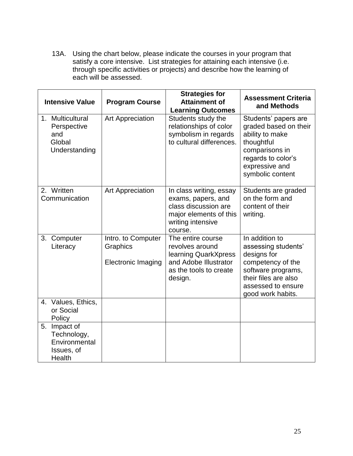13A. Using the chart below, please indicate the courses in your program that satisfy a core intensive. List strategies for attaining each intensive (i.e. through specific activities or projects) and describe how the learning of each will be assessed.

| <b>Intensive Value</b>                                                  | <b>Program Course</b>                                       | <b>Strategies for</b><br><b>Attainment of</b><br><b>Learning Outcomes</b>                                                       | <b>Assessment Criteria</b><br>and Methods                                                                                                                          |
|-------------------------------------------------------------------------|-------------------------------------------------------------|---------------------------------------------------------------------------------------------------------------------------------|--------------------------------------------------------------------------------------------------------------------------------------------------------------------|
| 1. Multicultural<br>Perspective<br>and<br>Global<br>Understanding       | Art Appreciation                                            | Students study the<br>relationships of color<br>symbolism in regards<br>to cultural differences.                                | Students' papers are<br>graded based on their<br>ability to make<br>thoughtful<br>comparisons in<br>regards to color's<br>expressive and<br>symbolic content       |
| 2. Written<br>Communication                                             | <b>Art Appreciation</b>                                     | In class writing, essay<br>exams, papers, and<br>class discussion are<br>major elements of this<br>writing intensive<br>course. | Students are graded<br>on the form and<br>content of their<br>writing.                                                                                             |
| Computer<br>3.<br>Literacy                                              | Intro. to Computer<br>Graphics<br><b>Electronic Imaging</b> | The entire course<br>revolves around<br>learning QuarkXpress<br>and Adobe Illustrator<br>as the tools to create<br>design.      | In addition to<br>assessing students'<br>designs for<br>competency of the<br>software programs,<br>their files are also<br>assessed to ensure<br>good work habits. |
| 4. Values, Ethics,<br>or Social<br>Policy                               |                                                             |                                                                                                                                 |                                                                                                                                                                    |
| Impact of<br>5.<br>Technology,<br>Environmental<br>Issues, of<br>Health |                                                             |                                                                                                                                 |                                                                                                                                                                    |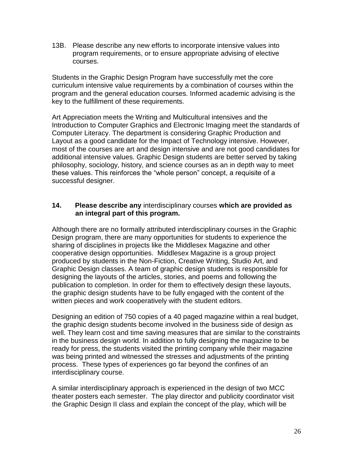13B. Please describe any new efforts to incorporate intensive values into program requirements, or to ensure appropriate advising of elective courses.

Students in the Graphic Design Program have successfully met the core curriculum intensive value requirements by a combination of courses within the program and the general education courses. Informed academic advising is the key to the fulfillment of these requirements.

Art Appreciation meets the Writing and Multicultural intensives and the Introduction to Computer Graphics and Electronic Imaging meet the standards of Computer Literacy. The department is considering Graphic Production and Layout as a good candidate for the Impact of Technology intensive. However, most of the courses are art and design intensive and are not good candidates for additional intensive values. Graphic Design students are better served by taking philosophy, sociology, history, and science courses as an in depth way to meet these values. This reinforces the "whole person" concept, a requisite of a successful designer.

### **14. Please describe any** interdisciplinary courses **which are provided as an integral part of this program.**

Although there are no formally attributed interdisciplinary courses in the Graphic Design program, there are many opportunities for students to experience the sharing of disciplines in projects like the Middlesex Magazine and other cooperative design opportunities. Middlesex Magazine is a group project produced by students in the Non-Fiction, Creative Writing, Studio Art, and Graphic Design classes. A team of graphic design students is responsible for designing the layouts of the articles, stories, and poems and following the publication to completion. In order for them to effectively design these layouts, the graphic design students have to be fully engaged with the content of the written pieces and work cooperatively with the student editors.

Designing an edition of 750 copies of a 40 paged magazine within a real budget, the graphic design students become involved in the business side of design as well. They learn cost and time saving measures that are similar to the constraints in the business design world. In addition to fully designing the magazine to be ready for press, the students visited the printing company while their magazine was being printed and witnessed the stresses and adjustments of the printing process. These types of experiences go far beyond the confines of an interdisciplinary course.

A similar interdisciplinary approach is experienced in the design of two MCC theater posters each semester. The play director and publicity coordinator visit the Graphic Design II class and explain the concept of the play, which will be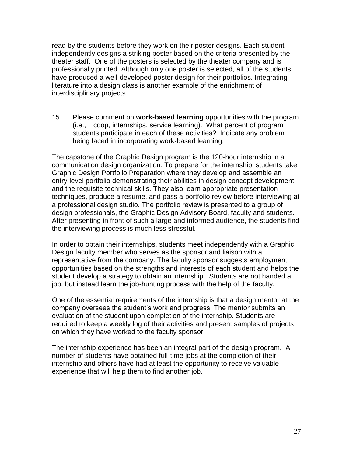read by the students before they work on their poster designs. Each student independently designs a striking poster based on the criteria presented by the theater staff. One of the posters is selected by the theater company and is professionally printed. Although only one poster is selected, all of the students have produced a well-developed poster design for their portfolios. Integrating literature into a design class is another example of the enrichment of interdisciplinary projects.

15. Please comment on **work-based learning** opportunities with the program (i.e., coop, internships, service learning). What percent of program students participate in each of these activities? Indicate any problem being faced in incorporating work-based learning.

The capstone of the Graphic Design program is the 120-hour internship in a communication design organization. To prepare for the internship, students take Graphic Design Portfolio Preparation where they develop and assemble an entry-level portfolio demonstrating their abilities in design concept development and the requisite technical skills. They also learn appropriate presentation techniques, produce a resume, and pass a portfolio review before interviewing at a professional design studio. The portfolio review is presented to a group of design professionals, the Graphic Design Advisory Board, faculty and students. After presenting in front of such a large and informed audience, the students find the interviewing process is much less stressful.

In order to obtain their internships, students meet independently with a Graphic Design faculty member who serves as the sponsor and liaison with a representative from the company. The faculty sponsor suggests employment opportunities based on the strengths and interests of each student and helps the student develop a strategy to obtain an internship. Students are not handed a job, but instead learn the job-hunting process with the help of the faculty.

One of the essential requirements of the internship is that a design mentor at the company oversees the student"s work and progress. The mentor submits an evaluation of the student upon completion of the internship. Students are required to keep a weekly log of their activities and present samples of projects on which they have worked to the faculty sponsor.

The internship experience has been an integral part of the design program. A number of students have obtained full-time jobs at the completion of their internship and others have had at least the opportunity to receive valuable experience that will help them to find another job.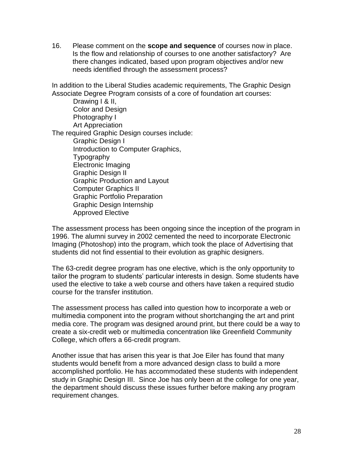16. Please comment on the **scope and sequence** of courses now in place. Is the flow and relationship of courses to one another satisfactory? Are there changes indicated, based upon program objectives and/or new needs identified through the assessment process?

In addition to the Liberal Studies academic requirements, The Graphic Design Associate Degree Program consists of a core of foundation art courses:

 Drawing I & II, Color and Design Photography I Art Appreciation The required Graphic Design courses include: Graphic Design I Introduction to Computer Graphics, Typography Electronic Imaging Graphic Design II Graphic Production and Layout Computer Graphics II Graphic Portfolio Preparation Graphic Design Internship Approved Elective

The assessment process has been ongoing since the inception of the program in 1996. The alumni survey in 2002 cemented the need to incorporate Electronic Imaging (Photoshop) into the program, which took the place of Advertising that students did not find essential to their evolution as graphic designers.

The 63-credit degree program has one elective, which is the only opportunity to tailor the program to students' particular interests in design. Some students have used the elective to take a web course and others have taken a required studio course for the transfer institution.

The assessment process has called into question how to incorporate a web or multimedia component into the program without shortchanging the art and print media core. The program was designed around print, but there could be a way to create a six-credit web or multimedia concentration like Greenfield Community College, which offers a 66-credit program.

Another issue that has arisen this year is that Joe Eiler has found that many students would benefit from a more advanced design class to build a more accomplished portfolio. He has accommodated these students with independent study in Graphic Design III. Since Joe has only been at the college for one year, the department should discuss these issues further before making any program requirement changes.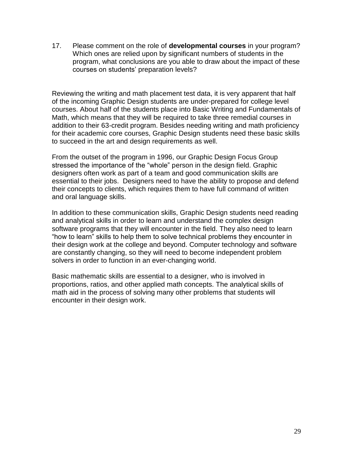17. Please comment on the role of **developmental courses** in your program? Which ones are relied upon by significant numbers of students in the program, what conclusions are you able to draw about the impact of these courses on students" preparation levels?

Reviewing the writing and math placement test data, it is very apparent that half of the incoming Graphic Design students are under-prepared for college level courses. About half of the students place into Basic Writing and Fundamentals of Math, which means that they will be required to take three remedial courses in addition to their 63-credit program. Besides needing writing and math proficiency for their academic core courses, Graphic Design students need these basic skills to succeed in the art and design requirements as well.

From the outset of the program in 1996, our Graphic Design Focus Group stressed the importance of the "whole" person in the design field. Graphic designers often work as part of a team and good communication skills are essential to their jobs. Designers need to have the ability to propose and defend their concepts to clients, which requires them to have full command of written and oral language skills.

In addition to these communication skills, Graphic Design students need reading and analytical skills in order to learn and understand the complex design software programs that they will encounter in the field. They also need to learn "how to learn" skills to help them to solve technical problems they encounter in their design work at the college and beyond. Computer technology and software are constantly changing, so they will need to become independent problem solvers in order to function in an ever-changing world.

Basic mathematic skills are essential to a designer, who is involved in proportions, ratios, and other applied math concepts. The analytical skills of math aid in the process of solving many other problems that students will encounter in their design work.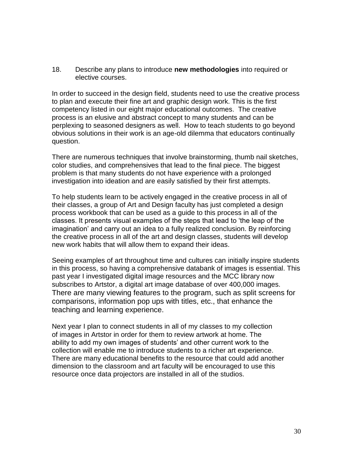18. Describe any plans to introduce **new methodologies** into required or elective courses.

In order to succeed in the design field, students need to use the creative process to plan and execute their fine art and graphic design work. This is the first competency listed in our eight major educational outcomes. The creative process is an elusive and abstract concept to many students and can be perplexing to seasoned designers as well. How to teach students to go beyond obvious solutions in their work is an age-old dilemma that educators continually question.

There are numerous techniques that involve brainstorming, thumb nail sketches, color studies, and comprehensives that lead to the final piece. The biggest problem is that many students do not have experience with a prolonged investigation into ideation and are easily satisfied by their first attempts.

To help students learn to be actively engaged in the creative process in all of their classes, a group of Art and Design faculty has just completed a design process workbook that can be used as a guide to this process in all of the classes. It presents visual examples of the steps that lead to "the leap of the imagination" and carry out an idea to a fully realized conclusion. By reinforcing the creative process in all of the art and design classes, students will develop new work habits that will allow them to expand their ideas.

Seeing examples of art throughout time and cultures can initially inspire students in this process, so having a comprehensive databank of images is essential. This past year I investigated digital image resources and the MCC library now subscribes to Artstor, a digital art image database of over 400,000 images. There are many viewing features to the program, such as split screens for comparisons, information pop ups with titles, etc., that enhance the teaching and learning experience.

Next year I plan to connect students in all of my classes to my collection of images in Artstor in order for them to review artwork at home. The ability to add my own images of students' and other current work to the collection will enable me to introduce students to a richer art experience. There are many educational benefits to the resource that could add another dimension to the classroom and art faculty will be encouraged to use this resource once data projectors are installed in all of the studios.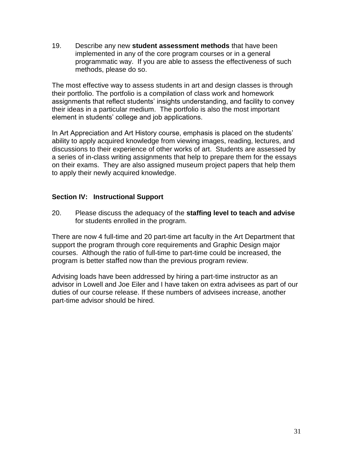19. Describe any new **student assessment methods** that have been implemented in any of the core program courses or in a general programmatic way. If you are able to assess the effectiveness of such methods, please do so.

The most effective way to assess students in art and design classes is through their portfolio. The portfolio is a compilation of class work and homework assignments that reflect students' insights understanding, and facility to convey their ideas in a particular medium. The portfolio is also the most important element in students' college and job applications.

In Art Appreciation and Art History course, emphasis is placed on the students" ability to apply acquired knowledge from viewing images, reading, lectures, and discussions to their experience of other works of art. Students are assessed by a series of in-class writing assignments that help to prepare them for the essays on their exams. They are also assigned museum project papers that help them to apply their newly acquired knowledge.

## **Section IV: Instructional Support**

20. Please discuss the adequacy of the **staffing level to teach and advise** for students enrolled in the program.

There are now 4 full-time and 20 part-time art faculty in the Art Department that support the program through core requirements and Graphic Design major courses. Although the ratio of full-time to part-time could be increased, the program is better staffed now than the previous program review.

Advising loads have been addressed by hiring a part-time instructor as an advisor in Lowell and Joe Eiler and I have taken on extra advisees as part of our duties of our course release. If these numbers of advisees increase, another part-time advisor should be hired.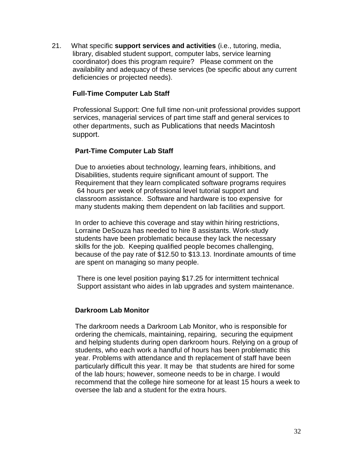21. What specific **support services and activities** (i.e., tutoring, media, library, disabled student support, computer labs, service learning coordinator) does this program require? Please comment on the availability and adequacy of these services (be specific about any current deficiencies or projected needs).

### **Full-Time Computer Lab Staff**

Professional Support: One full time non-unit professional provides support services, managerial services of part time staff and general services to other departments, such as Publications that needs Macintosh support.

### **Part-Time Computer Lab Staff**

 Due to anxieties about technology, learning fears, inhibitions, and Disabilities, students require significant amount of support. The Requirement that they learn complicated software programs requires 64 hours per week of professional level tutorial support and classroom assistance. Software and hardware is too expensive for many students making them dependent on lab facilities and support.

 In order to achieve this coverage and stay within hiring restrictions, Lorraine DeSouza has needed to hire 8 assistants. Work-study students have been problematic because they lack the necessary skills for the job. Keeping qualified people becomes challenging, because of the pay rate of \$12.50 to \$13.13. Inordinate amounts of time are spent on managing so many people.

 There is one level position paying \$17.25 for intermittent technical Support assistant who aides in lab upgrades and system maintenance.

### **Darkroom Lab Monitor**

 The darkroom needs a Darkroom Lab Monitor, who is responsible for ordering the chemicals, maintaining, repairing, securing the equipment and helping students during open darkroom hours. Relying on a group of students, who each work a handful of hours has been problematic this year. Problems with attendance and th replacement of staff have been particularly difficult this year. It may be that students are hired for some of the lab hours; however, someone needs to be in charge. I would recommend that the college hire someone for at least 15 hours a week to oversee the lab and a student for the extra hours.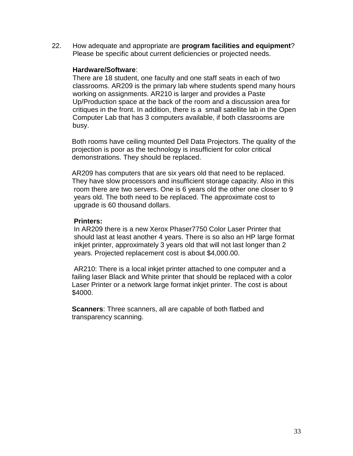22. How adequate and appropriate are **program facilities and equipment**? Please be specific about current deficiencies or projected needs.

#### **Hardware/Software**:

There are 18 student, one faculty and one staff seats in each of two classrooms. AR209 is the primary lab where students spend many hours working on assignments. AR210 is larger and provides a Paste Up/Production space at the back of the room and a discussion area for critiques in the front. In addition, there is a small satellite lab in the Open Computer Lab that has 3 computers available, if both classrooms are busy.

 Both rooms have ceiling mounted Dell Data Projectors. The quality of the projection is poor as the technology is insufficient for color critical demonstrations. They should be replaced.

 AR209 has computers that are six years old that need to be replaced. They have slow processors and insufficient storage capacity. Also in this room there are two servers. One is 6 years old the other one closer to 9 years old. The both need to be replaced. The approximate cost to upgrade is 60 thousand dollars.

#### **Printers:**

 In AR209 there is a new Xerox Phaser7750 Color Laser Printer that should last at least another 4 years. There is so also an HP large format inkjet printer, approximately 3 years old that will not last longer than 2 years. Projected replacement cost is about \$4,000.00.

 AR210: There is a local inkjet printer attached to one computer and a failing laser Black and White printer that should be replaced with a color Laser Printer or a network large format inkjet printer. The cost is about \$4000.

 **Scanners**: Three scanners, all are capable of both flatbed and transparency scanning.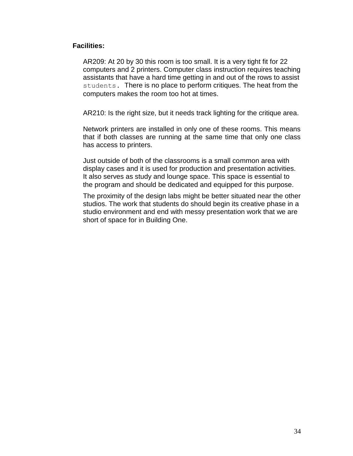### **Facilities:**

AR209: At 20 by 30 this room is too small. It is a very tight fit for 22 computers and 2 printers. Computer class instruction requires teaching assistants that have a hard time getting in and out of the rows to assist students. There is no place to perform critiques. The heat from the computers makes the room too hot at times.

AR210: Is the right size, but it needs track lighting for the critique area.

Network printers are installed in only one of these rooms. This means that if both classes are running at the same time that only one class has access to printers.

Just outside of both of the classrooms is a small common area with display cases and it is used for production and presentation activities. It also serves as study and lounge space. This space is essential to the program and should be dedicated and equipped for this purpose.

The proximity of the design labs might be better situated near the other studios. The work that students do should begin its creative phase in a studio environment and end with messy presentation work that we are short of space for in Building One.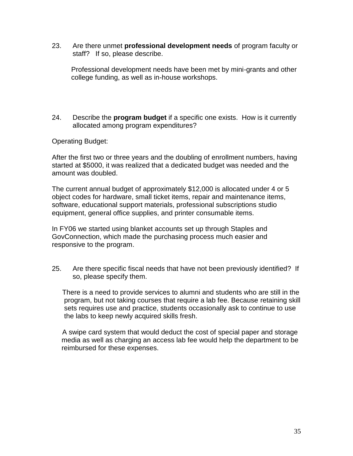23. Are there unmet **professional development needs** of program faculty or staff? If so, please describe.

 Professional development needs have been met by mini-grants and other college funding, as well as in-house workshops.

24. Describe the **program budget** if a specific one exists. How is it currently allocated among program expenditures?

Operating Budget:

After the first two or three years and the doubling of enrollment numbers, having started at \$5000, it was realized that a dedicated budget was needed and the amount was doubled.

The current annual budget of approximately \$12,000 is allocated under 4 or 5 object codes for hardware, small ticket items, repair and maintenance items, software, educational support materials, professional subscriptions studio equipment, general office supplies, and printer consumable items.

In FY06 we started using blanket accounts set up through Staples and GovConnection, which made the purchasing process much easier and responsive to the program.

25. Are there specific fiscal needs that have not been previously identified? If so, please specify them.

There is a need to provide services to alumni and students who are still in the program, but not taking courses that require a lab fee. Because retaining skill sets requires use and practice, students occasionally ask to continue to use the labs to keep newly acquired skills fresh.

A swipe card system that would deduct the cost of special paper and storage media as well as charging an access lab fee would help the department to be reimbursed for these expenses.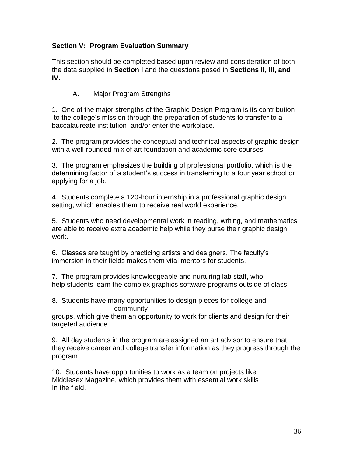# **Section V: Program Evaluation Summary**

This section should be completed based upon review and consideration of both the data supplied in **Section I** and the questions posed in **Sections II, III, and IV.**

# A. Major Program Strengths

1. One of the major strengths of the Graphic Design Program is its contribution to the college"s mission through the preparation of students to transfer to a baccalaureate institution and/or enter the workplace.

2. The program provides the conceptual and technical aspects of graphic design with a well-rounded mix of art foundation and academic core courses.

3. The program emphasizes the building of professional portfolio, which is the determining factor of a student"s success in transferring to a four year school or applying for a job.

4. Students complete a 120-hour internship in a professional graphic design setting, which enables them to receive real world experience.

5. Students who need developmental work in reading, writing, and mathematics are able to receive extra academic help while they purse their graphic design work.

6. Classes are taught by practicing artists and designers. The faculty"s immersion in their fields makes them vital mentors for students.

7. The program provides knowledgeable and nurturing lab staff, who help students learn the complex graphics software programs outside of class.

8. Students have many opportunities to design pieces for college and community

groups, which give them an opportunity to work for clients and design for their targeted audience.

9. All day students in the program are assigned an art advisor to ensure that they receive career and college transfer information as they progress through the program.

10. Students have opportunities to work as a team on projects like Middlesex Magazine, which provides them with essential work skills In the field.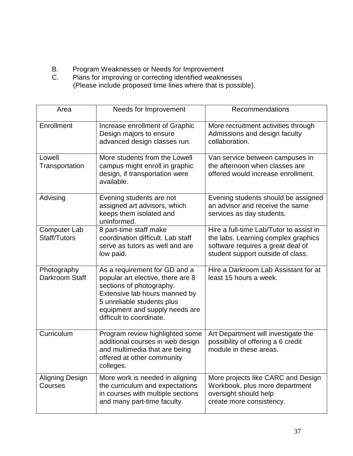- B. Program Weaknesses or Needs for Improvement
- C. Plans for improving or correcting identified weaknesses (Please include proposed time lines where that is possible).

| Area                                       | Needs for Improvement                                                                                                                                                                                                       | Recommendations                                                                                                                                          |
|--------------------------------------------|-----------------------------------------------------------------------------------------------------------------------------------------------------------------------------------------------------------------------------|----------------------------------------------------------------------------------------------------------------------------------------------------------|
| Enrollment                                 | Increase enrollment of Graphic<br>Design majors to ensure<br>advanced design classes run.                                                                                                                                   | More recruitment activities through<br>Admissions and design faculty<br>collaboration.                                                                   |
| Lowell<br>Transportation                   | More students from the Lowell<br>campus might enroll in graphic<br>design, if transportation were<br>available.                                                                                                             | Van service between campuses in<br>the afternoon when classes are<br>offered would increase enrollment.                                                  |
| Advising                                   | Evening students are not<br>assigned art advisors, which<br>keeps them isolated and<br>uninformed.                                                                                                                          | Evening students should be assigned<br>an advisor and receive the same<br>services as day students.                                                      |
| <b>Computer Lab</b><br><b>Staff/Tutors</b> | 8 part-time staff make<br>coordination difficult. Lab staff<br>serve as tutors as well and are<br>low paid.                                                                                                                 | Hire a full-time Lab/Tutor to assist in<br>the labs. Learning complex graphics<br>software requires a great deal of<br>student support outside of class. |
| Photography<br>Darkroom Staff              | As a requirement for GD and a<br>popular art elective, there are 8<br>sections of photography.<br>Extensive lab hours manned by<br>5 unreliable students plus<br>equipment and supply needs are<br>difficult to coordinate. | Hire a Darkroom Lab Assistant for at<br>least 15 hours a week.                                                                                           |
| Curriculum                                 | Program review highlighted some<br>additional courses in web design<br>and multimedia that are being<br>offered at other community<br>colleges.                                                                             | Art Department will investigate the<br>possibility of offering a 6 credit<br>module in these areas.                                                      |
| <b>Aligning Design</b><br>Courses          | More work is needed in aligning<br>the curriculum and expectations<br>in courses with multiple sections<br>and many part-time faculty.                                                                                      | More projects like CARC and Design<br>Workbook, plus more department<br>oversight should help<br>create more consistency.                                |